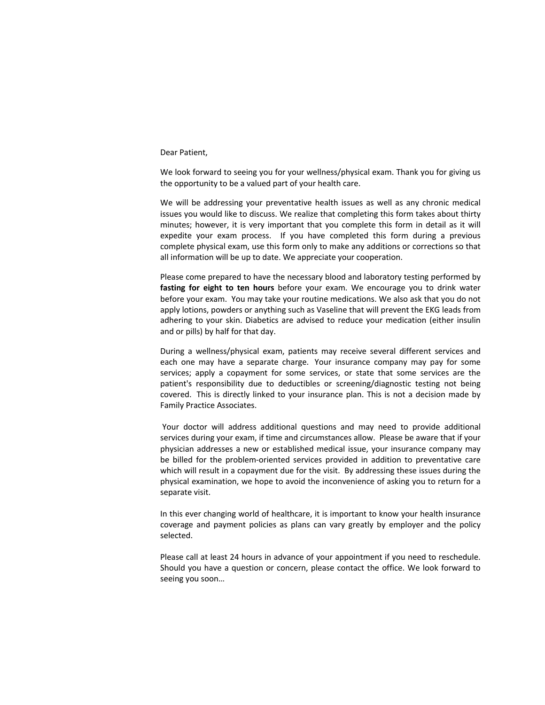#### Dear Patient,

We look forward to seeing you for your wellness/physical exam. Thank you for giving us the opportunity to be a valued part of your health care.

We will be addressing your preventative health issues as well as any chronic medical issues you would like to discuss. We realize that completing this form takes about thirty minutes; however, it is very important that you complete this form in detail as it will expedite your exam process. If you have completed this form during a previous complete physical exam, use this form only to make any additions or corrections so that all information will be up to date. We appreciate your cooperation.

Please come prepared to have the necessary blood and laboratory testing performed by **fasting for eight to ten hours** before your exam. We encourage you to drink water before your exam. You may take your routine medications. We also ask that you do not apply lotions, powders or anything such as Vaseline that will prevent the EKG leads from adhering to your skin. Diabetics are advised to reduce your medication (either insulin and or pills) by half for that day.

During a wellness/physical exam, patients may receive several different services and each one may have a separate charge. Your insurance company may pay for some services; apply a copayment for some services, or state that some services are the patient's responsibility due to deductibles or screening/diagnostic testing not being covered. This is directly linked to your insurance plan. This is not a decision made by Family Practice Associates.

Your doctor will address additional questions and may need to provide additional services during your exam, if time and circumstances allow. Please be aware that if your physician addresses a new or established medical issue, your insurance company may be billed for the problem-oriented services provided in addition to preventative care which will result in a copayment due for the visit. By addressing these issues during the physical examination, we hope to avoid the inconvenience of asking you to return for a separate visit.

In this ever changing world of healthcare, it is important to know your health insurance coverage and payment policies as plans can vary greatly by employer and the policy selected.

Please call at least 24 hours in advance of your appointment if you need to reschedule. Should you have a question or concern, please contact the office. We look forward to seeing you soon…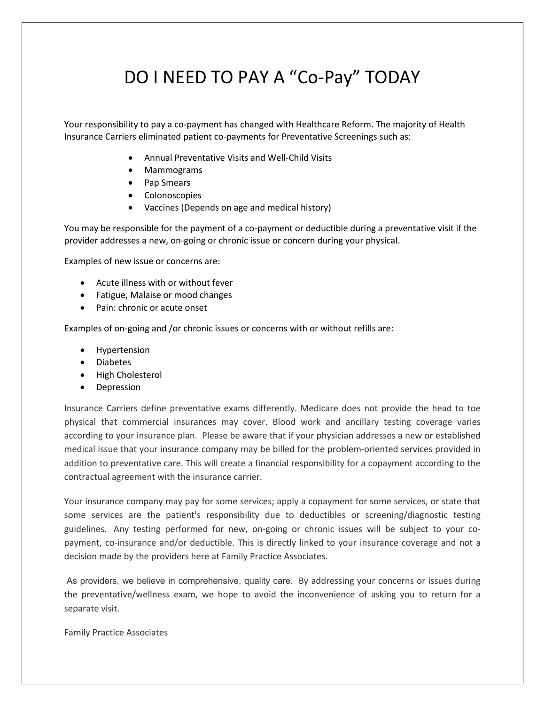# DO I NEED TO PAY A "Co-Pay" TODAY

Your responsibility to pay a co-payment has changed with Healthcare Reform. The majority of Health Insurance Carriers eliminated patient co-payments for Preventative Screenings such as:

- Annual Preventative Visits and Well-Child Visits
- Mammograms
- Pap Smears
- Colonoscopies
- Vaccines (Depends on age and medical history)

You may be responsible for the payment of a co-payment or deductible during a preventative visit if the provider addresses a new, on-going or chronic issue or concern during your physical.

Examples of new issue or concerns are:

- Acute illness with or without fever
- Fatigue, Malaise or mood changes
- Pain: chronic or acute onset

Examples of on-going and /or chronic issues or concerns with or without refills are:

- Hypertension
- Diabetes
- High Cholesterol
- Depression

Insurance Carriers define preventative exams differently. Medicare does not provide the head to toe physical that commercial insurances may cover. Blood work and ancillary testing coverage varies according to your insurance plan. Please be aware that if your physician addresses a new or established medical issue that your insurance company may be billed for the problem-oriented services provided in addition to preventative care. This will create a financial responsibility for a copayment according to the contractual agreement with the insurance carrier.

Your insurance company may pay for some services; apply a copayment for some services, or state that some services are the patient's responsibility due to deductibles or screening/diagnostic testing guidelines. Any testing performed for new, on-going or chronic issues will be subject to your copayment, co-insurance and/or deductible. This is directly linked to your insurance coverage and not a decision made by the providers here at Family Practice Associates.

As providers, we believe in comprehensive, quality care. By addressing your concerns or issues during the preventative/wellness exam, we hope to avoid the inconvenience of asking you to return for a separate visit.

Family Practice Associates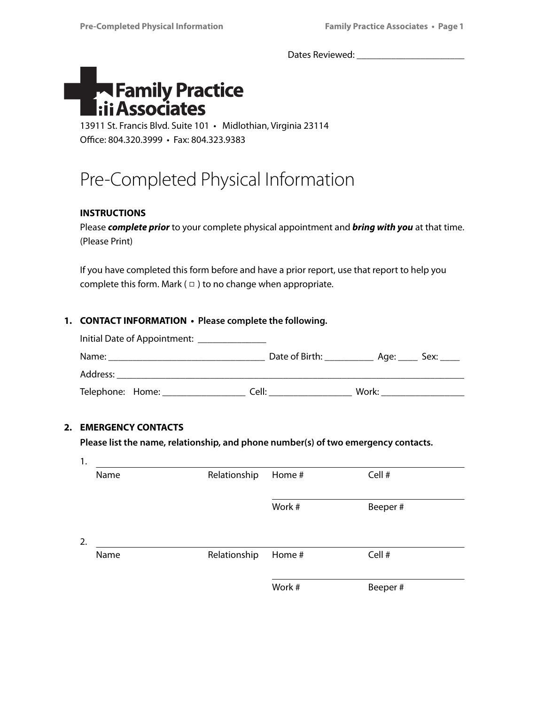Dates Reviewed: \_\_\_\_\_\_\_\_\_\_\_\_\_\_\_\_\_\_\_\_\_\_



13911 St. Francis Blvd. Suite 101 • Midlothian, Virginia 23114 Office: 804.320.3999 • Fax: 804.323.9383

# Pre-Completed Physical Information

## **INSTRUCTIONS**

Please *complete prior* to your complete physical appointment and *bring with you* at that time. (Please Print)

If you have completed this form before and have a prior report, use that report to help you complete this form. Mark  $( \Box )$  to no change when appropriate.

## **1. CONTACT INFORMATION • Please complete the following.**

| Initial Date of Appointment: |                |           |  |
|------------------------------|----------------|-----------|--|
| Name:                        | Date of Birth: | Age: Sex: |  |
| Address:                     |                |           |  |
| Telephone: Home:             | Cell:          | Work:     |  |

### **2. EMERGENCY CONTACTS**

**Please list the name, relationship, and phone number(s) of two emergency contacts.**

| 1. |      |              |        |         |
|----|------|--------------|--------|---------|
|    | Name | Relationship | Home # | Cell #  |
|    |      |              | Work # | Beeper# |
| 2. |      |              |        |         |
|    | Name | Relationship | Home # | Cell #  |
|    |      |              | Work # | Beeper# |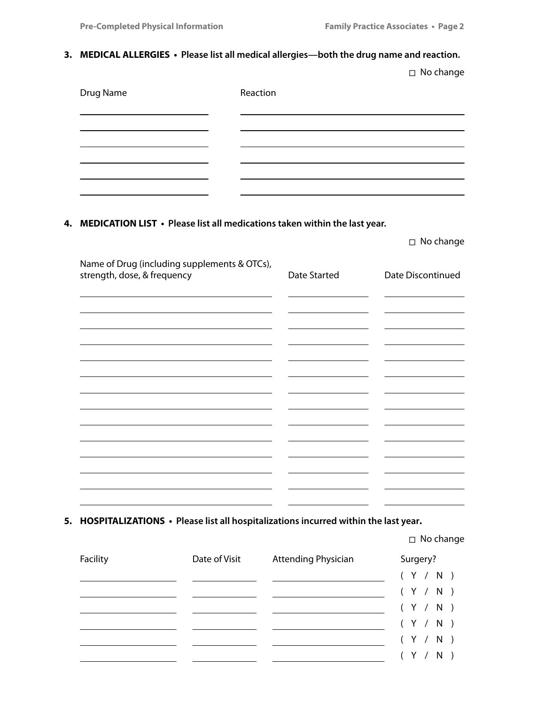**3. MEDICAL ALLERGIES • Please list all medical allergies—both the drug name and reaction.**

□ No change

| Drug Name | Reaction |
|-----------|----------|
|           |          |
|           |          |
|           |          |
|           |          |
|           |          |

**4. MEDICATION LIST • Please list all medications taken within the last year.**

□ No change

| Name of Drug (including supplements & OTCs),<br>strength, dose, & frequency | <b>Date Started</b> | Date Discontinued |
|-----------------------------------------------------------------------------|---------------------|-------------------|
|                                                                             |                     |                   |
|                                                                             |                     |                   |
|                                                                             |                     |                   |
|                                                                             |                     |                   |
|                                                                             |                     |                   |
|                                                                             |                     |                   |

**5. HOSPITALIZATIONS • Please list all hospitalizations incurred within the last year.**

□ No change

| Facility | Date of Visit | <b>Attending Physician</b> | Surgery? |  |  |  |  |  |  |  |
|----------|---------------|----------------------------|----------|--|--|--|--|--|--|--|
|          |               |                            | (Y / N)  |  |  |  |  |  |  |  |
|          |               |                            | (Y / N)  |  |  |  |  |  |  |  |
|          |               |                            | (Y / N)  |  |  |  |  |  |  |  |
|          |               |                            | (Y / N)  |  |  |  |  |  |  |  |
|          |               |                            | (Y / N)  |  |  |  |  |  |  |  |
|          |               |                            | (Y / N)  |  |  |  |  |  |  |  |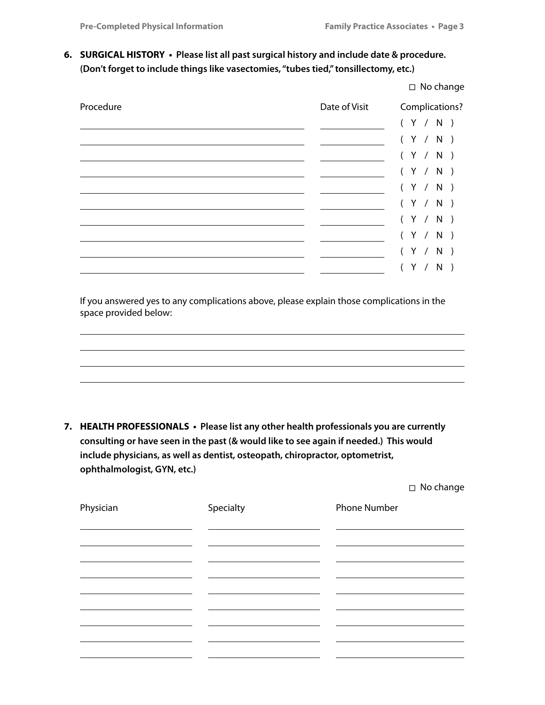$\begin{array}{cccccccccc} \textbf{X} & \textbf{Y} & \textbf{Y} & \textbf{Y} & \textbf{Y} & \textbf{Y} & \textbf{Y} & \textbf{Y} & \textbf{Y} & \textbf{Y} & \textbf{Y} & \textbf{Y} & \textbf{Y} & \textbf{Y} & \textbf{Y} & \textbf{Y} & \textbf{Y} & \textbf{Y} & \textbf{Y} & \textbf{Y} & \textbf{Y} & \textbf{Y} & \textbf{Y} & \textbf{Y} & \textbf{Y} & \textbf{Y} & \textbf{Y} & \textbf{Y} & \textbf{Y} & \textbf{Y} & \$ 

 $\begin{array}{c|cccc}\n\hline\n\textbf{(} & \textbf{Y} & / & \textbf{N} & )\n\end{array}$ 

( Y / N )

 $( Y / N )$ 

**6. SURGICAL HISTORY • Please list all past surgical history and include date & procedure. (Don't forget to include things like vasectomies, "tubes tied," tonsillectomy, etc.)**

|           |               | $\Box$ No change |
|-----------|---------------|------------------|
| Procedure | Date of Visit | Complications?   |
|           |               | (Y / N)          |
|           |               | (Y / N)          |
|           |               | (Y / N)          |
|           |               | (Y / N)          |
|           |               | (Y / N)          |
|           |               | N,               |

 $\mathbb{R}^2$  $\mathbb{R}^2$ 

If you answered yes to any complications above, please explain those complications in the space provided below:

**7. HEALTH PROFESSIONALS • Please list any other health professionals you are currently consulting or have seen in the past (& would like to see again if needed.) This would include physicians, as well as dentist, osteopath, chiropractor, optometrist, ophthalmologist, GYN, etc.)**

□ No change

| Physician | Specialty | <b>Phone Number</b> |
|-----------|-----------|---------------------|
|           |           |                     |
|           |           |                     |
|           |           |                     |
|           |           |                     |
|           |           |                     |
|           |           |                     |
|           |           |                     |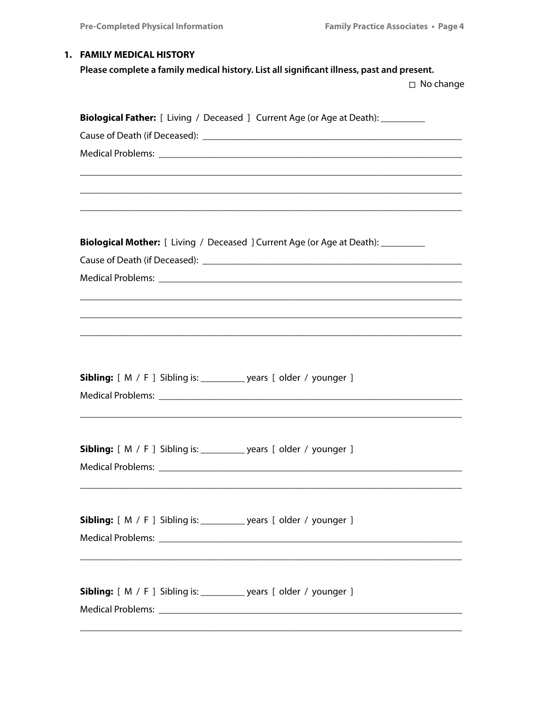# 1. FAMILY MEDICAL HISTORY

Please complete a family medical history. List all significant illness, past and present.

 $\Box$  No change

| <b>Biological Father:</b> [ Living / Deceased ] Current Age (or Age at Death): ________                              |  |  |  |  |  |  |
|----------------------------------------------------------------------------------------------------------------------|--|--|--|--|--|--|
|                                                                                                                      |  |  |  |  |  |  |
|                                                                                                                      |  |  |  |  |  |  |
|                                                                                                                      |  |  |  |  |  |  |
| ,我们也不能在这里的,我们也不能在这里的,我们也不能不能不能不能不能不能不能不能不能不能不能不能。""我们的,我们也不能不能不能不能不能不能不能不能不能不能不能                                     |  |  |  |  |  |  |
|                                                                                                                      |  |  |  |  |  |  |
|                                                                                                                      |  |  |  |  |  |  |
| Biological Mother: [ Living / Deceased ] Current Age (or Age at Death): ________                                     |  |  |  |  |  |  |
|                                                                                                                      |  |  |  |  |  |  |
|                                                                                                                      |  |  |  |  |  |  |
| <u> 1989 - Jan James James James James James James James James James James James James James James James James J</u> |  |  |  |  |  |  |
|                                                                                                                      |  |  |  |  |  |  |
|                                                                                                                      |  |  |  |  |  |  |
|                                                                                                                      |  |  |  |  |  |  |
|                                                                                                                      |  |  |  |  |  |  |
| <b>Sibling:</b> [ M / F ] Sibling is: ___________ years [ older / younger ]                                          |  |  |  |  |  |  |
|                                                                                                                      |  |  |  |  |  |  |
|                                                                                                                      |  |  |  |  |  |  |
|                                                                                                                      |  |  |  |  |  |  |
| Sibling: [ M / F ] Sibling is: ___________ years [ older / younger ]                                                 |  |  |  |  |  |  |
|                                                                                                                      |  |  |  |  |  |  |
|                                                                                                                      |  |  |  |  |  |  |
|                                                                                                                      |  |  |  |  |  |  |
| <b>Sibling:</b> [M / F ] Sibling is: ___________ years [ older / younger ]                                           |  |  |  |  |  |  |
|                                                                                                                      |  |  |  |  |  |  |
|                                                                                                                      |  |  |  |  |  |  |
|                                                                                                                      |  |  |  |  |  |  |
| <b>Sibling:</b> [ M / F ] Sibling is: __________ years [ older / younger ]                                           |  |  |  |  |  |  |
|                                                                                                                      |  |  |  |  |  |  |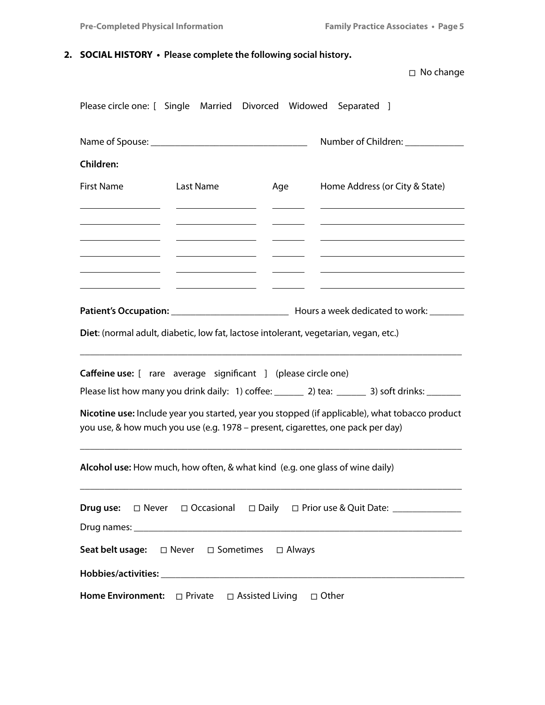**Pre-Completed Physical Information Family Practice Associates • Page 5** 

□ No change

**2. SOCIAL HISTORY • Please complete the following social history.** 

|                   | Please circle one: [ Single Married Divorced Widowed Separated ]                                                                                     |     |                                                                                                                                                                                                |
|-------------------|------------------------------------------------------------------------------------------------------------------------------------------------------|-----|------------------------------------------------------------------------------------------------------------------------------------------------------------------------------------------------|
|                   |                                                                                                                                                      |     | Number of Children: _____________                                                                                                                                                              |
| Children:         |                                                                                                                                                      |     |                                                                                                                                                                                                |
| <b>First Name</b> | Last Name                                                                                                                                            | Age | Home Address (or City & State)                                                                                                                                                                 |
|                   |                                                                                                                                                      |     |                                                                                                                                                                                                |
|                   |                                                                                                                                                      |     |                                                                                                                                                                                                |
|                   | Diet: (normal adult, diabetic, low fat, lactose intolerant, vegetarian, vegan, etc.)                                                                 |     |                                                                                                                                                                                                |
|                   | Caffeine use: [ rare  average  significant  ] (please circle one)<br>you use, & how much you use (e.g. 1978 – present, cigarettes, one pack per day) |     | Please list how many you drink daily: 1) coffee: ______ 2) tea: _____ 3) soft drinks: ______<br>Nicotine use: Include year you started, year you stopped (if applicable), what tobacco product |
|                   | Alcohol use: How much, how often, & what kind (e.g. one glass of wine daily)                                                                         |     |                                                                                                                                                                                                |
|                   |                                                                                                                                                      |     |                                                                                                                                                                                                |
|                   | <b>Seat belt usage:</b> □ Never □ Sometimes □ Always                                                                                                 |     |                                                                                                                                                                                                |
|                   |                                                                                                                                                      |     |                                                                                                                                                                                                |
|                   | Home Environment: □ Private □ Assisted Living □ Other                                                                                                |     |                                                                                                                                                                                                |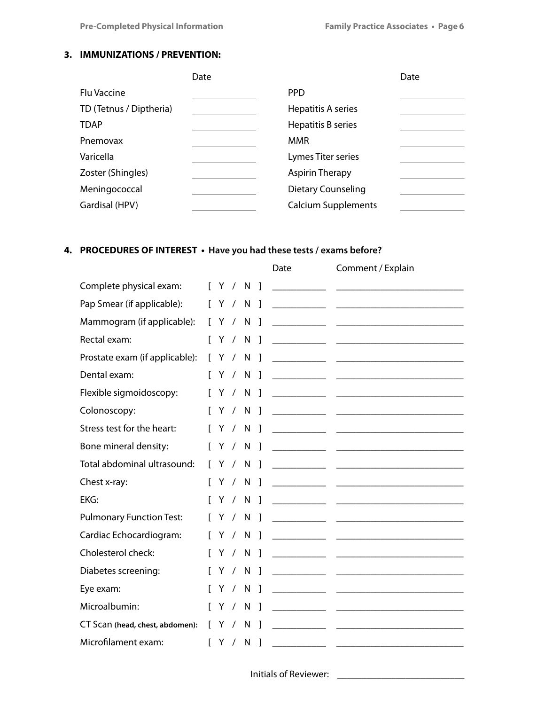# **3. IMMUNIZATIONS / PREVENTION:**

|                         | Date |                            | Date |
|-------------------------|------|----------------------------|------|
| <b>Flu Vaccine</b>      |      | <b>PPD</b>                 |      |
| TD (Tetnus / Diptheria) |      | <b>Hepatitis A series</b>  |      |
| <b>TDAP</b>             |      | Hepatitis B series         |      |
| Pnemovax                |      | <b>MMR</b>                 |      |
| Varicella               |      | Lymes Titer series         |      |
| Zoster (Shingles)       |      | <b>Aspirin Therapy</b>     |      |
| Meningococcal           |      | Dietary Counseling         |      |
| Gardisal (HPV)          |      | <b>Calcium Supplements</b> |      |

# **4. PROCEDURES OF INTEREST • Have you had these tests / exams before?**

|                                 |              |   |                       |              |                          | Date | Comment / Explain                                                                                                    |
|---------------------------------|--------------|---|-----------------------|--------------|--------------------------|------|----------------------------------------------------------------------------------------------------------------------|
| Complete physical exam:         |              |   | $\lceil Y / N \rceil$ |              | -1                       |      |                                                                                                                      |
| Pap Smear (if applicable):      | $\mathsf{L}$ |   | Y /                   | N            | $\mathbf{I}$             |      |                                                                                                                      |
| Mammogram (if applicable):      | T.           | Y | $\frac{1}{2}$         | N            | -1                       |      |                                                                                                                      |
| Rectal exam:                    | L            | Y | $\sqrt{2}$            | N            | -1                       |      | <u> 2000 - Jan James James, martin amerikan basar dan bagi dan basar dan bagi dan basar dan bagi dan basar dan b</u> |
| Prostate exam (if applicable):  | $\Gamma$     | Y | $\sqrt{2}$            | N            | -1                       |      |                                                                                                                      |
| Dental exam:                    |              |   | Y / N                 |              | -1                       |      |                                                                                                                      |
| Flexible sigmoidoscopy:         |              |   | Y / N                 |              | -1                       |      |                                                                                                                      |
| Colonoscopy:                    |              |   | Y /                   | N            | -1                       |      | <u> 2000 - Jan James James Barbara, menyebara bagian pengaran pengaran pengaran pengaran pengaran pengaran penga</u> |
| Stress test for the heart:      |              |   | Y /                   | N            |                          |      |                                                                                                                      |
| Bone mineral density:           | $\mathbf{L}$ |   | Y /                   | <sub>N</sub> | $\mathbf{I}$             |      |                                                                                                                      |
| Total abdominal ultrasound:     | L            | Y | $\sqrt{2}$            | N            | $\overline{\phantom{a}}$ |      |                                                                                                                      |
| Chest x-ray:                    |              |   | Y/N                   |              | -1                       |      |                                                                                                                      |
| EKG:                            |              |   | Y /                   | N            |                          |      |                                                                                                                      |
| <b>Pulmonary Function Test:</b> |              |   | Y/N                   |              | $\mathbf{I}$             |      |                                                                                                                      |
| Cardiac Echocardiogram:         |              |   | Y /                   | N            | $\perp$                  |      |                                                                                                                      |
| Cholesterol check:              |              |   | Y /                   | N            | -1                       |      |                                                                                                                      |
| Diabetes screening:             |              |   | Y /                   | N            | $\mathbf{I}$             |      |                                                                                                                      |
| Eye exam:                       |              |   | Y/N                   |              | -1                       |      |                                                                                                                      |
| Microalbumin:                   |              | Y | $\sqrt{2}$            | N            | -1                       |      |                                                                                                                      |
| CT Scan (head, chest, abdomen): | T.           | Y | $\prime$              | N            | <sup>1</sup>             |      |                                                                                                                      |
| Microfilament exam:             |              |   | Y /                   | N            |                          |      |                                                                                                                      |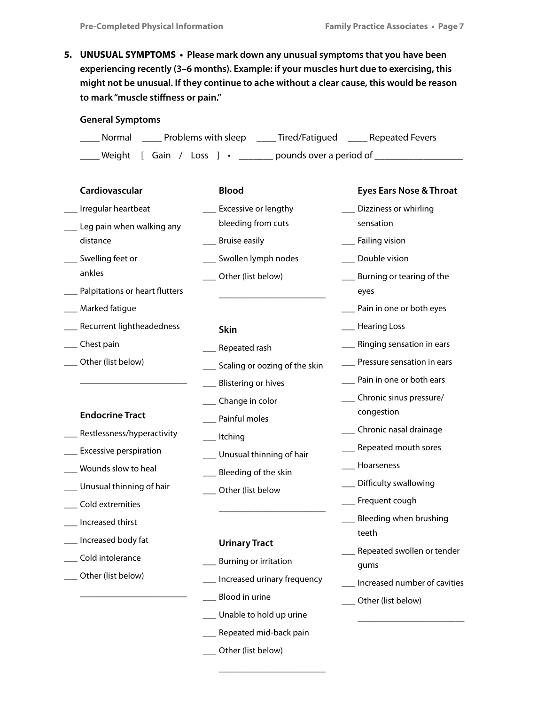**5. UNUSUAL SYMPTOMS • Please mark down any unusual symptoms that you have been experiencing recently (3–6 months). Example: if your muscles hurt due to exercising, this might not be unusual. If they continue to ache without a clear cause, this would be reason to mark "muscle stiffness or pain."**

### **General Symptoms**

| Normal | Problems with sleep              | Tired/Fatigued          | Repeated Fevers |
|--------|----------------------------------|-------------------------|-----------------|
|        | Weight $[$ Gain / Loss $] \cdot$ | pounds over a period of |                 |

| Cardiovascular                 | <b>Blood</b>                      | <b>Eyes Ears Nose &amp; Throat</b> |
|--------------------------------|-----------------------------------|------------------------------------|
| Irregular heartbeat            | Excessive or lengthy              | Dizziness or whirling              |
| _ Leg pain when walking any    | bleeding from cuts                | sensation                          |
| distance                       | <b>Bruise easily</b>              | Failing vision                     |
| Swelling feet or               | Swollen lymph nodes               | Double vision                      |
| ankles                         | _ Other (list below)              | __ Burning or tearing of the       |
| Palpitations or heart flutters |                                   | eyes                               |
| Marked fatigue                 |                                   | Pain in one or both eyes           |
| Recurrent lightheadedness      | <b>Skin</b>                       | <b>Hearing Loss</b>                |
| Chest pain                     | _ Repeated rash                   | Ringing sensation in ears          |
| Other (list below)             | ___ Scaling or oozing of the skin | Pressure sensation in ears         |
|                                | __ Blistering or hives            | Pain in one or both ears           |
|                                | __ Change in color                | Chronic sinus pressure/            |
| <b>Endocrine Tract</b>         | Painful moles                     | congestion                         |
| __ Restlessness/hyperactivity  | _Itching                          | Chronic nasal drainage             |
| __ Excessive perspiration      | Unusual thinning of hair          | Repeated mouth sores               |
| _ Wounds slow to heal          | __ Bleeding of the skin           | Hoarseness                         |
| __ Unusual thinning of hair    | Other (list below                 | Difficulty swallowing              |
| _ Cold extremities             |                                   | Frequent cough                     |
| <b>Increased thirst</b>        |                                   | Bleeding when brushing             |
| __ Increased body fat          | <b>Urinary Tract</b>              | teeth                              |
| Cold intolerance               |                                   | Repeated swollen or tender         |
| Other (list below)             | ___ Burning or irritation         | gums                               |
|                                | __ Increased urinary frequency    | Increased number of cavities       |
|                                | Blood in urine                    | Other (list below)                 |
|                                | Unable to hold up urine           |                                    |
|                                | Repeated mid-back pain            |                                    |

\_\_\_ Other (list below)

 **\_\_\_\_\_\_\_\_\_\_\_\_\_\_\_\_\_\_\_\_\_\_\_\_**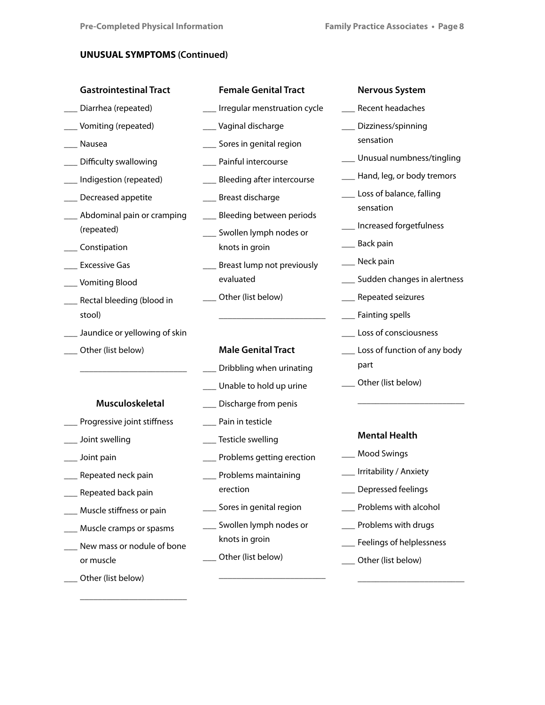### **UNUSUAL SYMPTOMS (Continued)**

| <b>Gastrointestinal Tract</b> |  |
|-------------------------------|--|
|                               |  |

- \_\_\_ Diarrhea (repeated) \_\_\_ Vomiting (repeated)
- \_\_\_ Nausea
- \_\_\_ Difficulty swallowing
- \_\_\_ Indigestion (repeated)
- \_\_\_ Decreased appetite
- \_\_\_ Abdominal pain or cramping (repeated)
- \_\_\_ Constipation
- \_\_\_ Excessive Gas
- \_\_\_ Vomiting Blood
- \_\_\_ Rectal bleeding (blood in stool)
- \_\_\_ Jaundice or yellowing of skin

 **\_\_\_\_\_\_\_\_\_\_\_\_\_\_\_\_\_\_\_\_\_\_\_\_**

\_\_\_ Other (list below)

### **Musculoskeletal**

- \_\_\_ Progressive joint stiffness
- \_\_\_ Joint swelling
- \_\_\_ Joint pain
- \_\_\_ Repeated neck pain
- \_\_\_ Repeated back pain
- \_\_\_ Muscle stiffness or pain
- \_\_\_ Muscle cramps or spasms
- New mass or nodule of bone or muscle

 **\_\_\_\_\_\_\_\_\_\_\_\_\_\_\_\_\_\_\_\_\_\_\_\_**

\_\_\_ Other (list below)

- **Female Genital Tract** \_\_\_ Irregular menstruation cycle \_\_\_ Vaginal discharge \_\_\_ Sores in genital region \_\_\_ Painful intercourse
- **\_\_\_** Bleeding after intercourse
- \_\_\_ Breast discharge
- \_\_\_ Bleeding between periods \_\_\_ Swollen lymph nodes or
- knots in groin
- Breast lump not previously evaluated

 **\_\_\_\_\_\_\_\_\_\_\_\_\_\_\_\_\_\_\_\_\_\_\_\_**

\_\_\_ Other (list below)

### **Male Genital Tract**

- \_\_\_ Dribbling when urinating
- \_\_\_ Unable to hold up urine
- \_\_\_ Discharge from penis
- \_\_\_ Pain in testicle
- \_\_\_ Testicle swelling
- \_\_\_ Problems getting erection
- \_\_\_ Problems maintaining erection
- \_\_\_ Sores in genital region \_\_\_ Swollen lymph nodes or knots in groin

 **\_\_\_\_\_\_\_\_\_\_\_\_\_\_\_\_\_\_\_\_\_\_\_\_**

\_\_\_ Other (list below)

# **Nervous System** \_\_\_ Recent headaches

- \_\_\_ Dizziness/spinning sensation
	- \_\_\_ Unusual numbness/tingling
- \_\_\_ Hand, leg, or body tremors
- \_\_\_ Loss of balance, falling sensation
- \_\_\_ Increased forgetfulness
- \_\_\_ Back pain
- \_\_\_ Neck pain
- \_\_\_ Sudden changes in alertness
- \_\_\_ Repeated seizures
- \_\_\_ Fainting spells
- \_\_\_ Loss of consciousness
- \_\_\_ Loss of function of any body part

 **\_\_\_\_\_\_\_\_\_\_\_\_\_\_\_\_\_\_\_\_\_\_\_\_**

\_\_\_ Other (list below)

### **Mental Health**

- \_\_\_ Mood Swings
- \_\_\_ Irritability / Anxiety
- \_\_ Depressed feelings
- \_\_\_ Problems with alcohol
- \_\_\_ Problems with drugs
- \_\_\_ Feelings of helplessness

 **\_\_\_\_\_\_\_\_\_\_\_\_\_\_\_\_\_\_\_\_\_\_\_\_**

\_\_\_ Other (list below)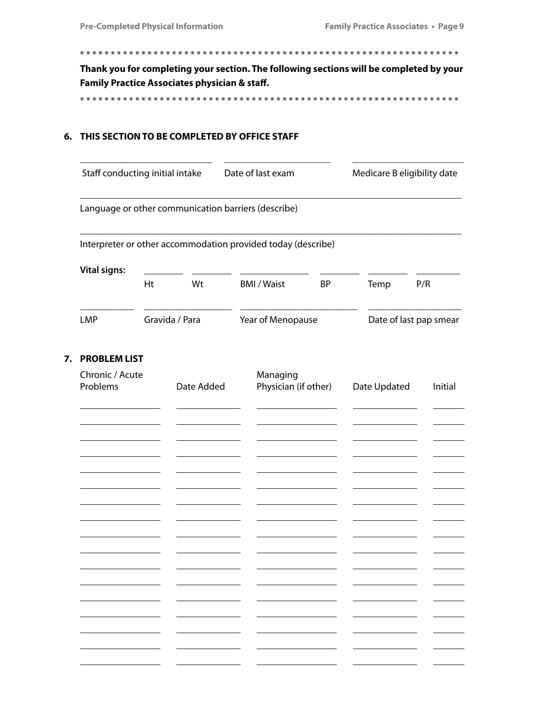\* \* \* \* \* \* \* \* \* \* \* \* \* \* \* \* \* \* \* \* \* \* \* \* \* \* \* \* \* \* \* \* \* \* \* \* \* \* \* \* \* \* \* \* \* \* \* \* \* \* \* \* \* \* \* \* \* \* \* \* \* \*

**Thank you for completing your section. The following sections will be completed by your Family Practice Associates physician & staff.** 

\* \* \* \* \* \* \* \* \* \* \* \* \* \* \* \* \* \* \* \* \* \* \* \* \* \* \* \* \* \* \* \* \* \* \* \* \* \* \* \* \* \* \* \* \* \* \* \* \* \* \* \* \* \* \* \* \* \* \* \* \* \*

### **6. THIS SECTION TO BE COMPLETED BY OFFICE STAFF**

| Staff conducting initial intake                              |                                                     |    | Date of last exam |           |      | Medicare B eligibility date |  |  |
|--------------------------------------------------------------|-----------------------------------------------------|----|-------------------|-----------|------|-----------------------------|--|--|
|                                                              | Language or other communication barriers (describe) |    |                   |           |      |                             |  |  |
| Interpreter or other accommodation provided today (describe) |                                                     |    |                   |           |      |                             |  |  |
| <b>Vital signs:</b>                                          | Ht                                                  | Wt | <b>BMI/Waist</b>  | <b>BP</b> | Temp | P/R                         |  |  |
| LMP                                                          | Gravida / Para                                      |    | Year of Menopause |           |      | Date of last pap smear      |  |  |

# **7. PROBLEM LIST**

| Chronic / Acute<br>Problems | Date Added | Managing<br>Physician (if other) | Date Updated | Initial |
|-----------------------------|------------|----------------------------------|--------------|---------|
|                             |            |                                  |              |         |
|                             |            |                                  |              |         |
|                             |            |                                  |              |         |
|                             |            |                                  |              |         |
|                             |            |                                  |              |         |
|                             |            |                                  |              |         |
|                             |            |                                  |              |         |
|                             |            |                                  |              |         |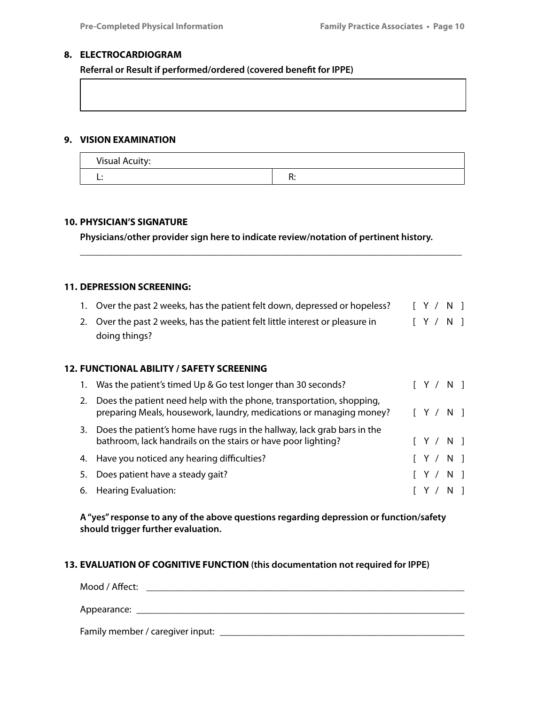### **8. ELECTROCARDIOGRAM**

**Referral or Result if performed/ordered (covered benefit for IPPE)** 

### **9. VISION EXAMINATION**

| <b>Visual Acuity:</b> |  |
|-----------------------|--|
| . .                   |  |

### **10. PHYSICIAN'S SIGNATURE**

**Physicians/other provider sign here to indicate review/notation of pertinent history.**

### **11. DEPRESSION SCREENING:**

| 1. Over the past 2 weeks, has the patient felt down, depressed or hopeless?   |  | $\lceil Y / N \rceil$                     |  |
|-------------------------------------------------------------------------------|--|-------------------------------------------|--|
| 2. Over the past 2 weeks, has the patient felt little interest or pleasure in |  | $\begin{bmatrix} Y & / & N \end{bmatrix}$ |  |
| doing things?                                                                 |  |                                           |  |

\_\_\_\_\_\_\_\_\_\_\_\_\_\_\_\_\_\_\_\_\_\_\_\_\_\_\_\_\_\_\_\_\_\_\_\_\_\_\_\_\_\_\_\_\_\_\_\_\_\_\_\_\_\_\_\_\_\_\_\_\_\_\_\_\_\_\_\_\_\_\_\_\_\_\_\_\_\_

### **12. FUNCTIONAL ABILITY / SAFETY SCREENING**

| 1. Was the patient's timed Up & Go test longer than 30 seconds?                                                                                |  | [ Y / N ] |  |
|------------------------------------------------------------------------------------------------------------------------------------------------|--|-----------|--|
| 2. Does the patient need help with the phone, transportation, shopping,<br>preparing Meals, housework, laundry, medications or managing money? |  | [ Y / N ] |  |
| 3. Does the patient's home have rugs in the hallway, lack grab bars in the<br>bathroom, lack handrails on the stairs or have poor lighting?    |  | [ Y / N ] |  |
| 4. Have you noticed any hearing difficulties?                                                                                                  |  | [ Y / N ] |  |
| 5. Does patient have a steady gait?                                                                                                            |  | [ Y / N ] |  |
| 6. Hearing Evaluation:                                                                                                                         |  | [ Y / N ] |  |

**A "yes" response to any of the above questions regarding depression or function/safety should trigger further evaluation.**

### **13. EVALUATION OF COGNITIVE FUNCTION (this documentation not required for IPPE)**

| Mood / Affect: |                                  |
|----------------|----------------------------------|
|                |                                  |
| Appearance:    |                                  |
|                |                                  |
|                | Family member / caregiver input: |
|                |                                  |